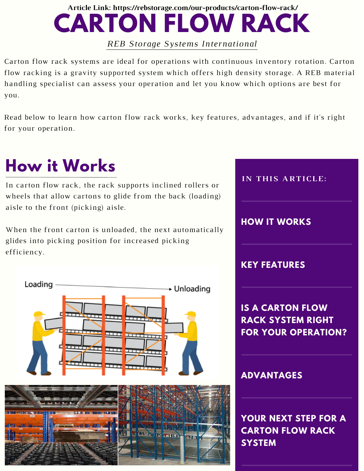#### **CARTON FLOW RACK Article Link: https://rebstorage.com/our-products/carton-flow-rack/**

*REB Storage Systems International*

Carton flow rack systems are ideal for operations with continuous inventory rotation. Carton flow racking is a gravity supported system which offers high density storage. A REB material handling specialist can assess your operation and let you know which options are best for you.

Read below to learn how carton flow rack works, key features, advantages, and if it's right for your operation.

# **How it Works**

In carton flow rack, the rack supports inclined rollers or wheels that allow cartons to glide from the back (loading) aisle to the front (picking) aisle.

When the front carton is unloaded, the next automatically glides into picking position for increased picking efficiency.







**YOUR NEXT STEP FOR A CARTON FLOW RACK SYSTEM**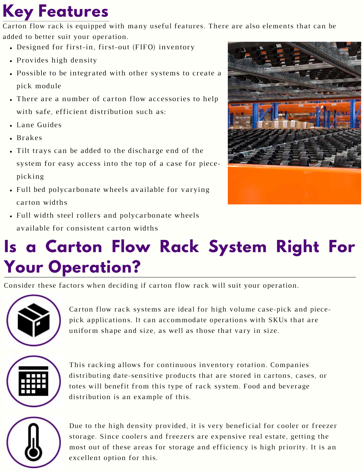## **Key Features**

Carton flow rack is equipped with many useful features. There are also elements that can be added to better suit your operation.

- Designed for first-in, first-out (FIFO) inventory
- Provides high density
- Possible to be integrated with other systems to create a pick module
- There are a number of carton flow accessories to help with safe, efficient distribution such as:
- Lane Guides
- Brakes
- Tilt trays can be added to the discharge end of the system for easy access into the top of a case for piecepicking
- Full bed polycarbonate wheels available for varying carton widths



Full width steel rollers and polycarbonate wheels available for consistent carton widths

## **Is a Carton Flow Rack System Right For Your Operation?**

Consider these factors when deciding if carton flow rack will suit your operation.



Carton flow rack systems are ideal for high volume case-pick and piecepick applications. It can accommodate operations with SKUs that are uniform shape and size, as well as those that vary in size.



This racking allows for continuous inventory rotation. Companies distributing date-sensitive products that are stored in cartons, cases, or totes will benefit from this type of rack system. Food and beverage distribution is an example of this.



Due to the high density provided, it is very beneficial for cooler or freezer storage. Since coolers and freezers are expensive real estate, getting the most out of these areas for storage and efficiency is high priority. It is an excellent option for this.